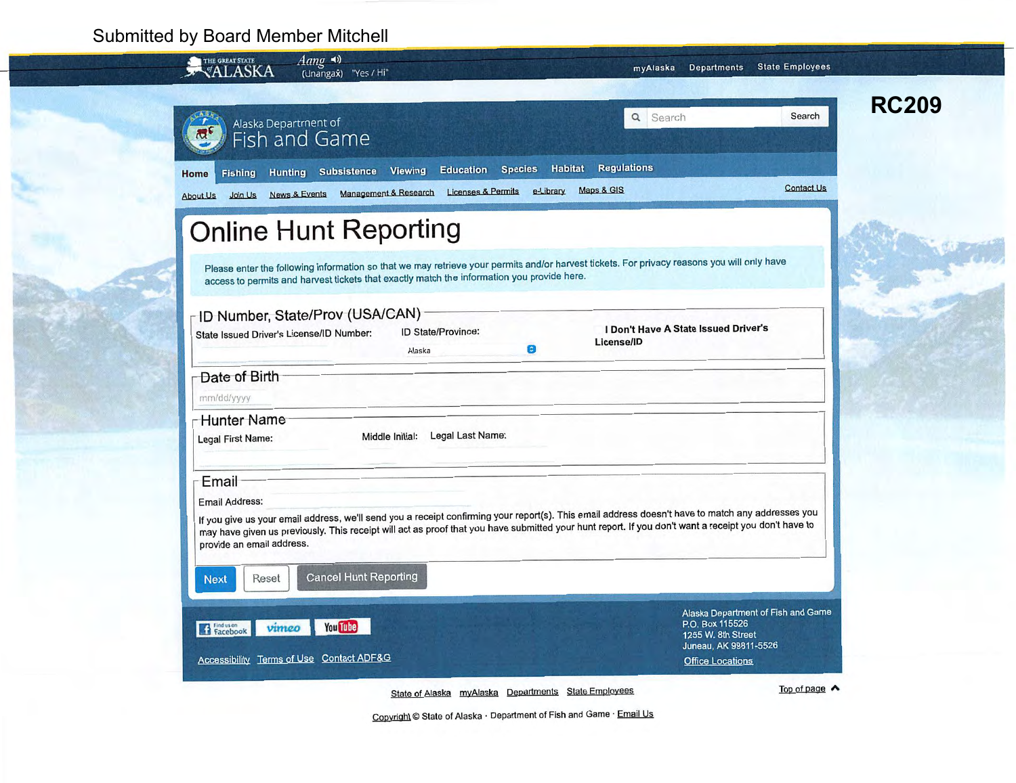## **Submitted by Board Member Mitchell**

| $Aang \rightarrow$<br>THE GREAT STATE<br>VALASKA<br>(Unangax) "Yes / Hi"                                                 | myAlaska Departments State Employees                           |                                                                                                                                                                                                                                                                                                                                                                                                                                                                                                                                                                                                                                         |
|--------------------------------------------------------------------------------------------------------------------------|----------------------------------------------------------------|-----------------------------------------------------------------------------------------------------------------------------------------------------------------------------------------------------------------------------------------------------------------------------------------------------------------------------------------------------------------------------------------------------------------------------------------------------------------------------------------------------------------------------------------------------------------------------------------------------------------------------------------|
| Alaska Department of<br>$\mathfrak{B}^{\mathfrak{c}}$<br>Fish and Game                                                   | Q Search                                                       | <b>RC209</b><br>Search                                                                                                                                                                                                                                                                                                                                                                                                                                                                                                                                                                                                                  |
| Fishing Hunting Subsistence Viewing<br>Home<br>News & Events Management & Research<br><b>About Us</b><br>Join Us         |                                                                | <b>Contact Us</b>                                                                                                                                                                                                                                                                                                                                                                                                                                                                                                                                                                                                                       |
| <b>Online Hunt Reporting</b>                                                                                             |                                                                |                                                                                                                                                                                                                                                                                                                                                                                                                                                                                                                                                                                                                                         |
| access to permits and harvest tickets that exactly match the information you provide here.                               |                                                                |                                                                                                                                                                                                                                                                                                                                                                                                                                                                                                                                                                                                                                         |
| ID Number, State/Prov (USA/CAN)<br>ID State/Province:<br>State Issued Driver's License/ID Number:<br>$\bullet$<br>Alaska |                                                                |                                                                                                                                                                                                                                                                                                                                                                                                                                                                                                                                                                                                                                         |
| Date of Birth<br>mm/dd/yyyy                                                                                              |                                                                |                                                                                                                                                                                                                                                                                                                                                                                                                                                                                                                                                                                                                                         |
| <b>Hunter Name</b><br>Legal Last Name:<br>Middle Initial:<br><b>Legal First Name:</b>                                    |                                                                |                                                                                                                                                                                                                                                                                                                                                                                                                                                                                                                                                                                                                                         |
| Email<br><b>Email Address:</b><br>provide an email address.                                                              |                                                                |                                                                                                                                                                                                                                                                                                                                                                                                                                                                                                                                                                                                                                         |
| <b>Cancel Hunt Reporting</b><br>Reset<br><b>Next</b>                                                                     |                                                                |                                                                                                                                                                                                                                                                                                                                                                                                                                                                                                                                                                                                                                         |
| Flacebook<br><b>You Tube</b><br>vimeo                                                                                    | P.O. Box 115526<br>1255 W. 8th Street<br>Juneau, AK 99811-5526 |                                                                                                                                                                                                                                                                                                                                                                                                                                                                                                                                                                                                                                         |
|                                                                                                                          |                                                                | Education Species Habitat Regulations<br>Licenses & Permits e-Library Maps & GIS<br>Please enter the following information so that we may retrieve your permits and/or harvest tickets. For privacy reasons you will only have<br>I Don't Have A State Issued Driver's<br>License/ID<br>If you give us your email address, we'll send you a receipt confirming your report(s). This email address doesn't have to match any addresses you<br>may have given us previously. This receipt will act as proof that you have submitted your hunt report. If you don't want a receipt you don't have to<br>Alaska Department of Fish and Game |

Copyright © State of Alaska · Department of Fish and Game · Email Us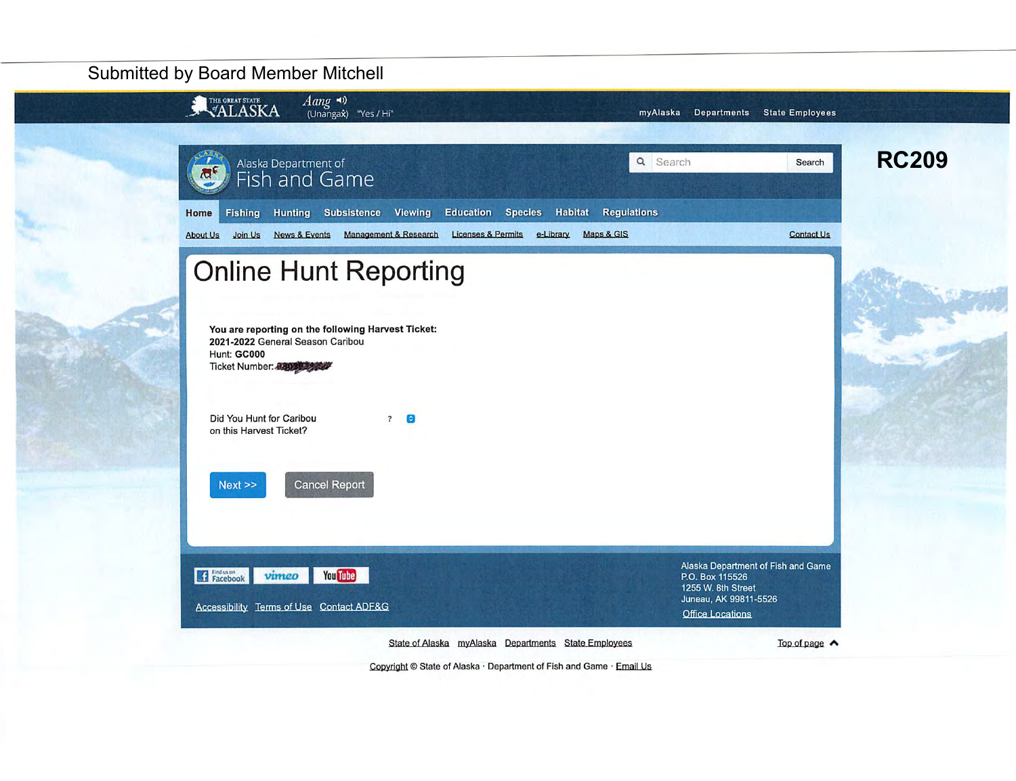## **Submitted by Board Member Mitchell**



Copyright © State of Alaska · Department of Fish and Game · Email Us